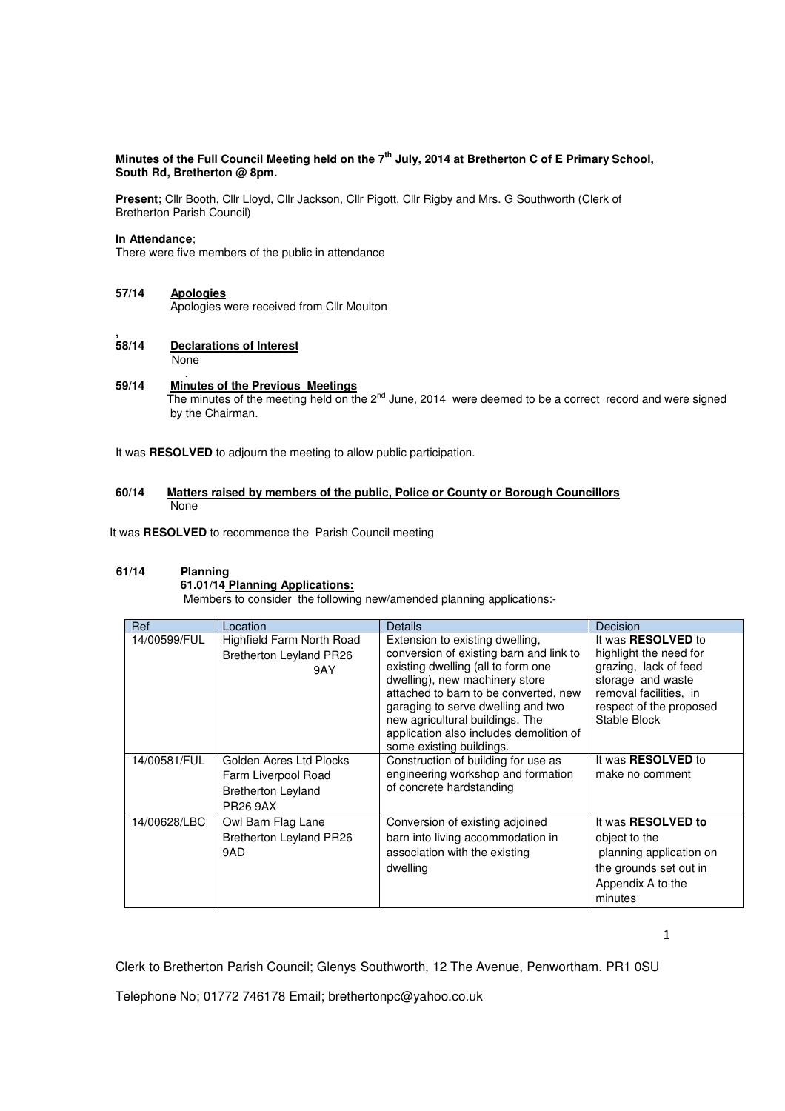# **Minutes of the Full Council Meeting held on the 7th July, 2014 at Bretherton C of E Primary School, South Rd, Bretherton @ 8pm.**

**Present;** Cllr Booth, Cllr Lloyd, Cllr Jackson, Cllr Pigott, Cllr Rigby and Mrs. G Southworth (Clerk of Bretherton Parish Council)

### **In Attendance**;

There were five members of the public in attendance

**57/14 Apologies** Apologies were received from Cllr Moulton

#### **, <u>Declarations of Interest</u> None**

.

#### **59/14 Minutes of the Previous Meetings** The minutes of the meeting held on the 2<sup>nd</sup> June, 2014 were deemed to be a correct record and were signed by the Chairman.

It was **RESOLVED** to adjourn the meeting to allow public participation.

## **60/14 Matters raised by members of the public, Police or County or Borough Councillors**  None

It was **RESOLVED** to recommence the Parish Council meeting

# **61/14 Planning**

## **61.01/14 Planning Applications:**

Members to consider the following new/amended planning applications:-

| Ref          | Location                                                                                       | <b>Details</b>                                                                                                                                                                                                                                                                                                                              | Decision                                                                                                                                                               |
|--------------|------------------------------------------------------------------------------------------------|---------------------------------------------------------------------------------------------------------------------------------------------------------------------------------------------------------------------------------------------------------------------------------------------------------------------------------------------|------------------------------------------------------------------------------------------------------------------------------------------------------------------------|
| 14/00599/FUL | Highfield Farm North Road<br>Bretherton Leyland PR26<br>9AY                                    | Extension to existing dwelling,<br>conversion of existing barn and link to<br>existing dwelling (all to form one<br>dwelling), new machinery store<br>attached to barn to be converted, new<br>garaging to serve dwelling and two<br>new agricultural buildings. The<br>application also includes demolition of<br>some existing buildings. | It was <b>RESOLVED</b> to<br>highlight the need for<br>grazing, lack of feed<br>storage and waste<br>removal facilities, in<br>respect of the proposed<br>Stable Block |
| 14/00581/FUL | Golden Acres Ltd Plocks<br>Farm Liverpool Road<br><b>Bretherton Leyland</b><br><b>PR26 9AX</b> | Construction of building for use as<br>engineering workshop and formation<br>of concrete hardstanding                                                                                                                                                                                                                                       | It was <b>RESOLVED</b> to<br>make no comment                                                                                                                           |
| 14/00628/LBC | Owl Barn Flag Lane<br>Bretherton Leyland PR26<br>9AD                                           | Conversion of existing adjoined<br>barn into living accommodation in<br>association with the existing<br>dwelling                                                                                                                                                                                                                           | It was <b>RESOLVED</b> to<br>object to the<br>planning application on<br>the grounds set out in<br>Appendix A to the<br>minutes                                        |

1

Clerk to Bretherton Parish Council; Glenys Southworth, 12 The Avenue, Penwortham. PR1 0SU

Telephone No; 01772 746178 Email; brethertonpc@yahoo.co.uk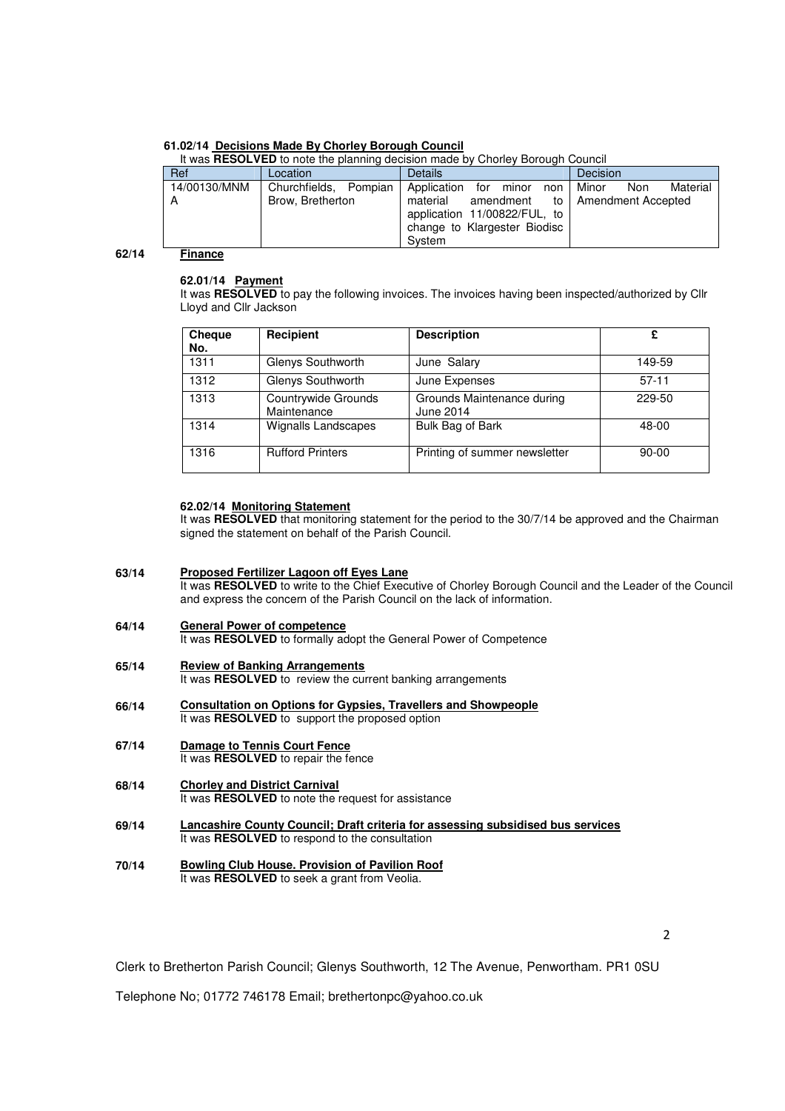## **61.02/14 Decisions Made By Chorley Borough Council**

|       | It was RESOLVED to note the planning decision made by Chorley Borough Council |                       |                                                                                                 |                          |  |  |  |
|-------|-------------------------------------------------------------------------------|-----------------------|-------------------------------------------------------------------------------------------------|--------------------------|--|--|--|
|       | Ref                                                                           | Location              | <b>Details</b>                                                                                  | Decision                 |  |  |  |
|       | 14/00130/MNM                                                                  | Churchfields, Pompian | Application<br>for<br>minor<br>non                                                              | Minor<br>Material<br>Non |  |  |  |
|       | А                                                                             | Brow, Bretherton      | material<br>amendment<br>application 11/00822/FUL, to<br>change to Klargester Biodisc<br>System | to   Amendment Accepted  |  |  |  |
| 62/14 | <b>Finance</b>                                                                |                       |                                                                                                 |                          |  |  |  |

#### **62/14**

#### **62.01/14 Payment**

It was RESOLVED to pay the following invoices. The invoices having been inspected/authorized by Cllr Lloyd and Cllr Jackson

| <b>Cheque</b><br>No. | Recipient                          | <b>Description</b>                      | £         |
|----------------------|------------------------------------|-----------------------------------------|-----------|
| 1311                 | Glenys Southworth                  | June Salary                             | 149-59    |
| 1312                 | Glenys Southworth                  | June Expenses                           | $57-11$   |
| 1313                 | Countrywide Grounds<br>Maintenance | Grounds Maintenance during<br>June 2014 | 229-50    |
| 1314                 | <b>Wignalls Landscapes</b>         | Bulk Bag of Bark                        | 48-00     |
| 1316                 | <b>Rufford Printers</b>            | Printing of summer newsletter           | $90 - 00$ |

## **62.02/14 Monitoring Statement**

It was **RESOLVED** that monitoring statement for the period to the 30/7/14 be approved and the Chairman signed the statement on behalf of the Parish Council.

#### **63/14 Proposed Fertilizer Lagoon off Eyes Lane** It was **RESOLVED** to write to the Chief Executive of Chorley Borough Council and the Leader of the Council and express the concern of the Parish Council on the lack of information.

- **64/14 General Power of competence** It was RESOLVED to formally adopt the General Power of Competence
- **65/14 Review of Banking Arrangements** It was **RESOLVED** to review the current banking arrangements
- **66/14 Consultation on Options for Gypsies, Travellers and Showpeople** It was **RESOLVED** to support the proposed option
- **67/14 Damage to Tennis Court Fence** It was **RESOLVED** to repair the fence
- **68/14 Chorley and District Carnival** It was **RESOLVED** to note the request for assistance
- **69/14 Lancashire County Council; Draft criteria for assessing subsidised bus services** It was **RESOLVED** to respond to the consultation
- **70/14 Bowling Club House. Provision of Pavilion Roof** It was **RESOLVED** to seek a grant from Veolia.

2

Clerk to Bretherton Parish Council; Glenys Southworth, 12 The Avenue, Penwortham. PR1 0SU

Telephone No; 01772 746178 Email; brethertonpc@yahoo.co.uk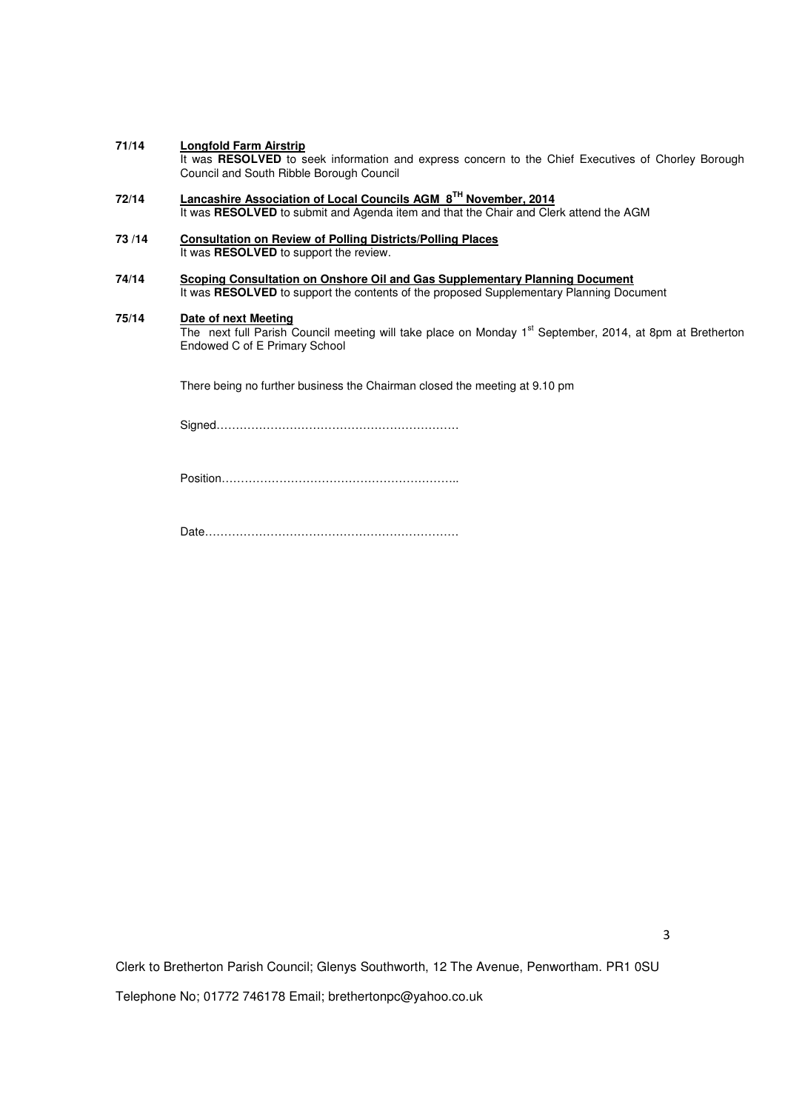#### **71/14 Longfold Farm Airstrip**

It was **RESOLVED** to seek information and express concern to the Chief Executives of Chorley Borough Council and South Ribble Borough Council

- **72/14 Lancashire Association of Local Councils AGM 8TH November, 2014** It was **RESOLVED** to submit and Agenda item and that the Chair and Clerk attend the AGM
- **73 /14 Consultation on Review of Polling Districts/Polling Places** It was **RESOLVED** to support the review.
- **74/14 Scoping Consultation on Onshore Oil and Gas Supplementary Planning Document** It was RESOLVED to support the contents of the proposed Supplementary Planning Document

#### **75/14 Date of next Meeting**

**The next full Parish Council meeting will take place on Monday 1<sup>st</sup> September, 2014, at 8pm at Bretherton** Endowed C of E Primary School

There being no further business the Chairman closed the meeting at 9.10 pm

Signed………………………………………………………

Position……………………………………………………..

Date…………………………………………………………

Clerk to Bretherton Parish Council; Glenys Southworth, 12 The Avenue, Penwortham. PR1 0SU Telephone No; 01772 746178 Email; brethertonpc@yahoo.co.uk